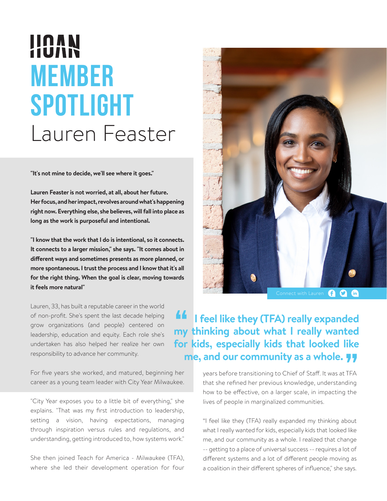## HOVY **MEMBER SPOTLIGHT** Lauren Feaster

**"It's not mine to decide, we'll see where it goes."**

**Lauren Feaster is not worried, at all, about her future. Her focus, and her impact, revolves around what's happening right now. Everything else, she believes, will fall into place as long as the work is purposeful and intentional.**

**"I know that the work that I do is intentional, so it connects. It connects to a larger mission," she says. "It comes about in different ways and sometimes presents as more planned, or more spontaneous. I trust the process and I know that it's all for the right thing. When the goal is clear, moving towards it feels more natural"**

Lauren, 33, has built a reputable career in the world of non-profit. She's spent the last decade helping grow organizations (and people) centered on leadership, education and equity. Each role she's undertaken has also helped her realize her own responsibility to advance her community.

For five years she worked, and matured, beginning her career as a young team leader with City Year Milwaukee.

"City Year exposes you to a little bit of everything," she explains. "That was my first introduction to leadership, setting a vision, having expectations, managing through inspiration versus rules and regulations, and understanding, getting introduced to, how systems work."

She then joined Teach for America - Milwaukee (TFA), where she led their development operation for four



GOG

## **If** I feel like they (TFA) really expanded **my thinking about what I really wanted for kids, especially kids that looked like me, and our community as a whole.**

years before transitioning to Chief of Staff. It was at TFA that she refined her previous knowledge, understanding how to be effective, on a larger scale, in impacting the lives of people in marginalized communities.

"I feel like they (TFA) really expanded my thinking about what I really wanted for kids, especially kids that looked like me, and our community as a whole. I realized that change -- getting to a place of universal success -- requires a lot of different systems and a lot of different people moving as a coalition in their different spheres of influence," she says.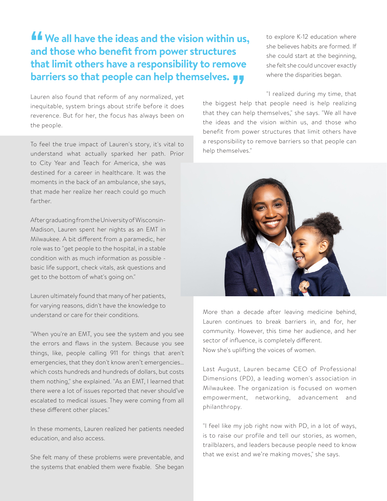## *L* We all have the ideas and the vision within us, **and those who benefit from power structures that limit others have a responsibility to remove barriers so that people can help themselves.**

Lauren also found that reform of any normalized, yet inequitable, system brings about strife before it does reverence. But for her, the focus has always been on the people.

To feel the true impact of Lauren's story, it's vital to understand what actually sparked her path. Prior to City Year and Teach for America, she was destined for a career in healthcare. It was the moments in the back of an ambulance, she says, that made her realize her reach could go much farther.

After graduating from the University of Wisconsin-Madison, Lauren spent her nights as an EMT in Milwaukee. A bit different from a paramedic, her role was to "get people to the hospital, in a stable condition with as much information as possible basic life support, check vitals, ask questions and get to the bottom of what's going on."

Lauren ultimately found that many of her patients, for varying reasons, didn't have the knowledge to understand or care for their conditions.

"When you're an EMT, you see the system and you see the errors and flaws in the system. Because you see things, like, people calling 911 for things that aren't emergencies, that they don't know aren't emergencies… which costs hundreds and hundreds of dollars, but costs them nothing," she explained. "As an EMT, I learned that there were a lot of issues reported that never should've escalated to medical issues. They were coming from all these different other places."

In these moments, Lauren realized her patients needed education, and also access.

She felt many of these problems were preventable, and the systems that enabled them were fixable. She began

to explore K-12 education where she believes habits are formed. If she could start at the beginning, she felt she could uncover exactly where the disparities began.

"I realized during my time, that

the biggest help that people need is help realizing that they can help themselves," she says. "We all have the ideas and the vision within us, and those who benefit from power structures that limit others have a responsibility to remove barriers so that people can help themselves."



More than a decade after leaving medicine behind, Lauren continues to break barriers in, and for, her community. However, this time her audience, and her sector of influence, is completely different. Now she's uplifting the voices of women.

Last August, Lauren became CEO of Professional Dimensions (PD), a leading women's association in Milwaukee. The organization is focused on women empowerment, networking, advancement and philanthropy.

"I feel like my job right now with PD, in a lot of ways, is to raise our profile and tell our stories, as women, trailblazers, and leaders because people need to know that we exist and we're making moves," she says.